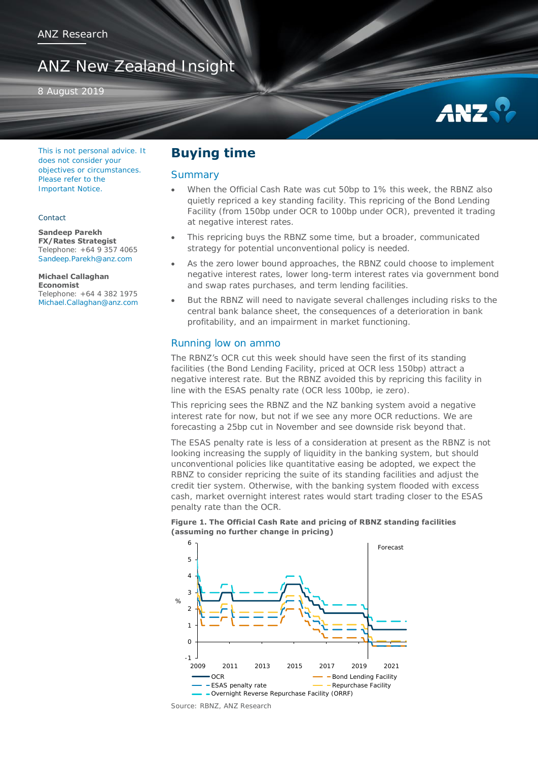# ANZ New Zealand Insight

8 August 2019



This is not personal advice. It does not consider your objectives or circumstances. Please refer to the Important Notice.

#### Contact

**Sandeep Parekh FX/Rates Strategist**  Telephone: +64 9 357 4065 [Sandeep.Parekh@anz.com](mailto:Sandeep.Parekh@anz.com)

**Michael Callaghan Economist**  Telephone: +64 4 382 1975 [Michael.Callaghan@anz.com](mailto:Michael.Callaghan@anz.com)

## **Buying time**

### **Summary**

- When the Official Cash Rate was cut 50bp to 1% this week, the RBNZ also quietly repriced a key standing facility. This repricing of the Bond Lending Facility (from 150bp under OCR to 100bp under OCR), prevented it trading at negative interest rates.
- This repricing buys the RBNZ some time, but a broader, communicated strategy for potential unconventional policy is needed.
- As the zero lower bound approaches, the RBNZ could choose to implement negative interest rates, lower long-term interest rates via government bond and swap rates purchases, and term lending facilities.
- But the RBNZ will need to navigate several challenges including risks to the central bank balance sheet, the consequences of a deterioration in bank profitability, and an impairment in market functioning.

### Running low on ammo

The RBNZ's OCR cut this week should have seen the first of its standing facilities (the Bond Lending Facility, priced at OCR less 150bp) attract a negative interest rate. But the RBNZ avoided this by repricing this facility in line with the ESAS penalty rate (OCR less 100bp, ie zero).

This repricing sees the RBNZ and the NZ banking system avoid a negative interest rate for now, but not if we see any more OCR reductions. We are forecasting a 25bp cut in November and see downside risk beyond that.

The ESAS penalty rate is less of a consideration at present as the RBNZ is not looking increasing the supply of liquidity in the banking system, but should unconventional policies like quantitative easing be adopted, we expect the RBNZ to consider repricing the suite of its standing facilities and adjust the credit tier system. Otherwise, with the banking system flooded with excess cash, market overnight interest rates would start trading closer to the ESAS penalty rate than the OCR.





Source: RBNZ, ANZ Research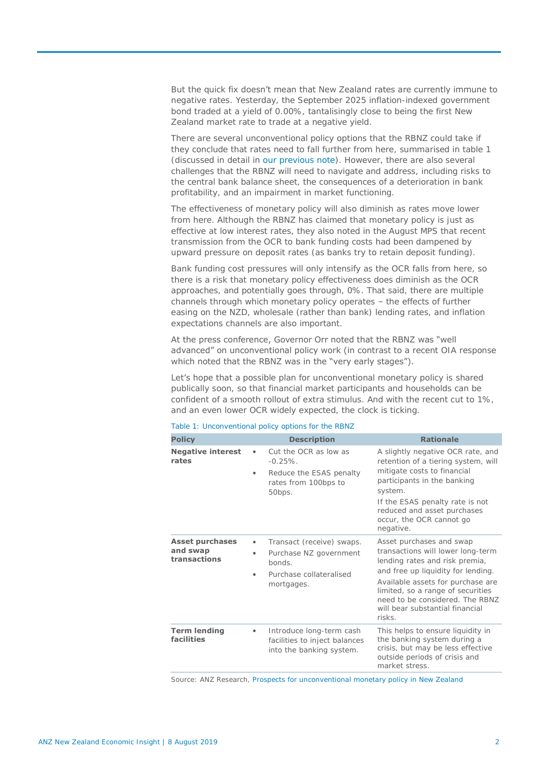But the quick fix doesn't mean that New Zealand rates are currently immune to negative rates. Yesterday, the September 2025 inflation-indexed government bond traded at a yield of 0.00%, tantalisingly close to being the first New Zealand market rate to trade at a negative yield.

There are several unconventional policy options that the RBNZ could take if they conclude that rates need to fall further from here, summarised in table 1 (discussed in detail in [our previous note\)](https://www.anz.co.nz/content/dam/anzconz/documents/economics-and-market-research/2019/ANZ-Economic-Insight-20190617.pdf?MOD=AJPERES). However, there are also several challenges that the RBNZ will need to navigate and address, including risks to the central bank balance sheet, the consequences of a deterioration in bank profitability, and an impairment in market functioning.

The effectiveness of monetary policy will also diminish as rates move lower from here. Although the RBNZ has claimed that monetary policy is just as effective at low interest rates, they also noted in the August MPS that recent transmission from the OCR to bank funding costs had been dampened by upward pressure on deposit rates (as banks try to retain deposit funding).

Bank funding cost pressures will only intensify as the OCR falls from here, so there is a risk that monetary policy effectiveness does diminish as the OCR approaches, and potentially goes through, 0%. That said, there are multiple channels through which monetary policy operates – the effects of further easing on the NZD, wholesale (rather than bank) lending rates, and inflation expectations channels are also important.

## At the press conference, Governor Orr noted that the RBNZ was "well advanced" on unconventional policy work (in contrast to a recent OIA response which noted that the RBNZ was in the "very early stages").

Let's hope that a possible plan for unconventional monetary policy is shared publically soon, so that financial market participants and households can be confident of a smooth rollout of extra stimulus. And with the recent cut to 1%, and an even lower OCR widely expected, the clock is ticking.

| <b>Policy</b>                                      | <b>Description</b>                                                                                                  | <b>Rationale</b>                                                                                                                                                                                                                                                                                |
|----------------------------------------------------|---------------------------------------------------------------------------------------------------------------------|-------------------------------------------------------------------------------------------------------------------------------------------------------------------------------------------------------------------------------------------------------------------------------------------------|
| <b>Negative interest</b><br>rates                  | Cut the OCR as low as<br>$\bullet$<br>$-0.25\%$ .<br>Reduce the ESAS penalty<br>٠<br>rates from 100bps to<br>50bps. | A slightly negative OCR rate, and<br>retention of a tiering system, will<br>mitigate costs to financial<br>participants in the banking<br>system.<br>If the ESAS penalty rate is not<br>reduced and asset purchases<br>occur, the OCR cannot go<br>negative.                                    |
| <b>Asset purchases</b><br>and swap<br>transactions | Transact (receive) swaps.<br>٠<br>Purchase NZ government<br>honds.<br>Purchase collateralised<br>٠<br>mortgages.    | Asset purchases and swap<br>transactions will lower long-term<br>lending rates and risk premia,<br>and free up liquidity for lending.<br>Available assets for purchase are<br>limited, so a range of securities<br>need to be considered. The RBNZ<br>will bear substantial financial<br>risks. |
| <b>Term lending</b><br>facilities                  | Introduce long-term cash<br>۰<br>facilities to inject balances<br>into the banking system.                          | This helps to ensure liquidity in<br>the banking system during a<br>crisis, but may be less effective<br>outside periods of crisis and<br>market stress.                                                                                                                                        |

#### Table 1: Unconventional policy options for the RBNZ

Source: ANZ Research, [Prospects for unconventional monetary policy in New Zealand](https://www.anz.co.nz/content/dam/anzconz/documents/economics-and-market-research/2019/ANZ-Economic-Insight-20190617.pdf?MOD=AJPERES)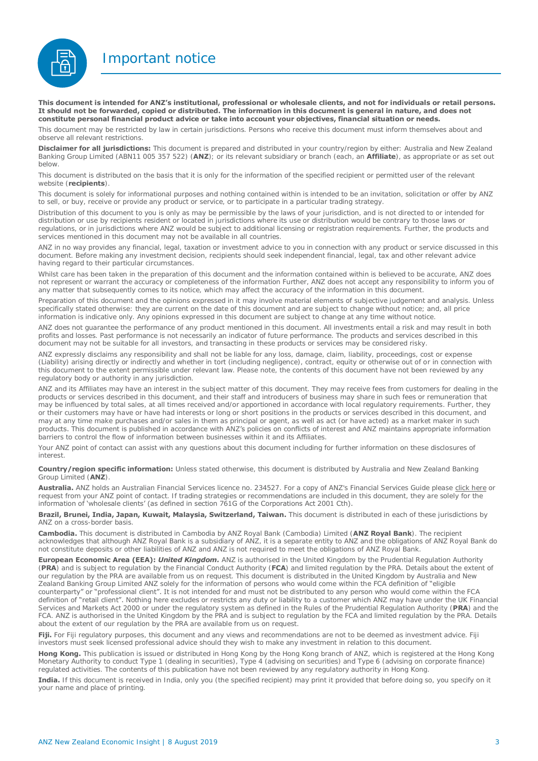Important notice



**This document is intended for ANZ's institutional, professional or wholesale clients, and not for individuals or retail persons. It should not be forwarded, copied or distributed. The information in this document is general in nature, and does not constitute personal financial product advice or take into account your objectives, financial situation or needs.** 

This document may be restricted by law in certain jurisdictions. Persons who receive this document must inform themselves about and observe all relevant restrictions.

**Disclaimer for all jurisdictions:** This document is prepared and distributed in your country/region by either: Australia and New Zealand Banking Group Limited (ABN11 005 357 522) (**ANZ**); or its relevant subsidiary or branch (each, an **Affiliate**), as appropriate or as set out below.

This document is distributed on the basis that it is only for the information of the specified recipient or permitted user of the relevant website (**recipients**).

This document is solely for informational purposes and nothing contained within is intended to be an invitation, solicitation or offer by ANZ to sell, or buy, receive or provide any product or service, or to participate in a particular trading strategy.

Distribution of this document to you is only as may be permissible by the laws of your jurisdiction, and is not directed to or intended for distribution or use by recipients resident or located in jurisdictions where its use or distribution would be contrary to those laws or regulations, or in jurisdictions where ANZ would be subject to additional licensing or registration requirements. Further, the products and services mentioned in this document may not be available in all countries.

ANZ in no way provides any financial, legal, taxation or investment advice to you in connection with any product or service discussed in this document. Before making any investment decision, recipients should seek independent financial, legal, tax and other relevant advice having regard to their particular circumstances.

Whilst care has been taken in the preparation of this document and the information contained within is believed to be accurate. ANZ does not represent or warrant the accuracy or completeness of the information Further, ANZ does not accept any responsibility to inform you of any matter that subsequently comes to its notice, which may affect the accuracy of the information in this document.

Preparation of this document and the opinions expressed in it may involve material elements of subjective judgement and analysis. Unless specifically stated otherwise: they are current on the date of this document and are subject to change without notice; and, all price information is indicative only. Any opinions expressed in this document are subject to change at any time without notice.

ANZ does not guarantee the performance of any product mentioned in this document. All investments entail a risk and may result in both profits and losses. Past performance is not necessarily an indicator of future performance. The products and services described in this document may not be suitable for all investors, and transacting in these products or services may be considered risky.

ANZ expressly disclaims any responsibility and shall not be liable for any loss, damage, claim, liability, proceedings, cost or expense (Liability) arising directly or indirectly and whether in tort (including negligence), contract, equity or otherwise out of or in connection with this document to the extent permissible under relevant law. Please note, the contents of this document have not been reviewed by any regulatory body or authority in any jurisdiction.

ANZ and its Affiliates may have an interest in the subject matter of this document. They may receive fees from customers for dealing in the products or services described in this document, and their staff and introducers of business may share in such fees or remuneration that may be influenced by total sales, at all times received and/or apportioned in accordance with local regulatory requirements. Further, they or their customers may have or have had interests or long or short positions in the products or services described in this document, and may at any time make purchases and/or sales in them as principal or agent, as well as act (or have acted) as a market maker in such products. This document is published in accordance with ANZ's policies on conflicts of interest and ANZ maintains appropriate information barriers to control the flow of information between businesses within it and its Affiliates.

Your ANZ point of contact can assist with any questions about this document including for further information on these disclosures of interest.

**Country/region specific information:** Unless stated otherwise, this document is distributed by Australia and New Zealand Banking Group Limited (**ANZ**).

**Australia.** ANZ holds an Australian Financial Services licence no. 234527. For a copy of ANZ's Financial Services Guide please [click here o](http://www.anz.com/documents/AU/aboutANZ/FinancialServicesGuide.pdf)r request from your ANZ point of contact. If trading strategies or recommendations are included in this document, they are solely for the information of 'wholesale clients' (as defined in section 761G of the Corporations Act 2001 Cth).

**Brazil, Brunei, India, Japan, Kuwait, Malaysia, Switzerland, Taiwan.** This document is distributed in each of these jurisdictions by ANZ on a cross-border basis.

**Cambodia.** This document is distributed in Cambodia by ANZ Royal Bank (Cambodia) Limited (**ANZ Royal Bank**). The recipient acknowledges that although ANZ Royal Bank is a subsidiary of ANZ, it is a separate entity to ANZ and the obligations of ANZ Royal Bank do not constitute deposits or other liabilities of ANZ and ANZ is not required to meet the obligations of ANZ Royal Bank.

**European Economic Area (EEA):** *United Kingdom.* ANZ is authorised in the United Kingdom by the Prudential Regulation Authority (**PRA**) and is subject to regulation by the Financial Conduct Authority (**FCA**) and limited regulation by the PRA. Details about the extent of our regulation by the PRA are available from us on request. This document is distributed in the United Kingdom by Australia and New Zealand Banking Group Limited ANZ solely for the information of persons who would come within the FCA definition of "eligible counterparty" or "professional client". It is not intended for and must not be distributed to any person who would come within the FCA definition of "retail client". Nothing here excludes or restricts any duty or liability to a customer which ANZ may have under the UK Financial Services and Markets Act 2000 or under the regulatory system as defined in the Rules of the Prudential Regulation Authority (**PRA**) and the FCA. ANZ is authorised in the United Kingdom by the PRA and is subject to regulation by the FCA and limited regulation by the PRA. Details about the extent of our regulation by the PRA are available from us on request

**Fiji.** For Fiji regulatory purposes, this document and any views and recommendations are not to be deemed as investment advice. Fiji investors must seek licensed professional advice should they wish to make any investment in relation to this document.

**Hong Kong.** This publication is issued or distributed in Hong Kong by the Hong Kong branch of ANZ, which is registered at the Hong Kong Monetary Authority to conduct Type 1 (dealing in securities), Type 4 (advising on securities) and Type 6 (advising on corporate finance) regulated activities. The contents of this publication have not been reviewed by any regulatory authority in Hong Kong.

**India.** If this document is received in India, only you (the specified recipient) may print it provided that before doing so, you specify on it your name and place of printing.